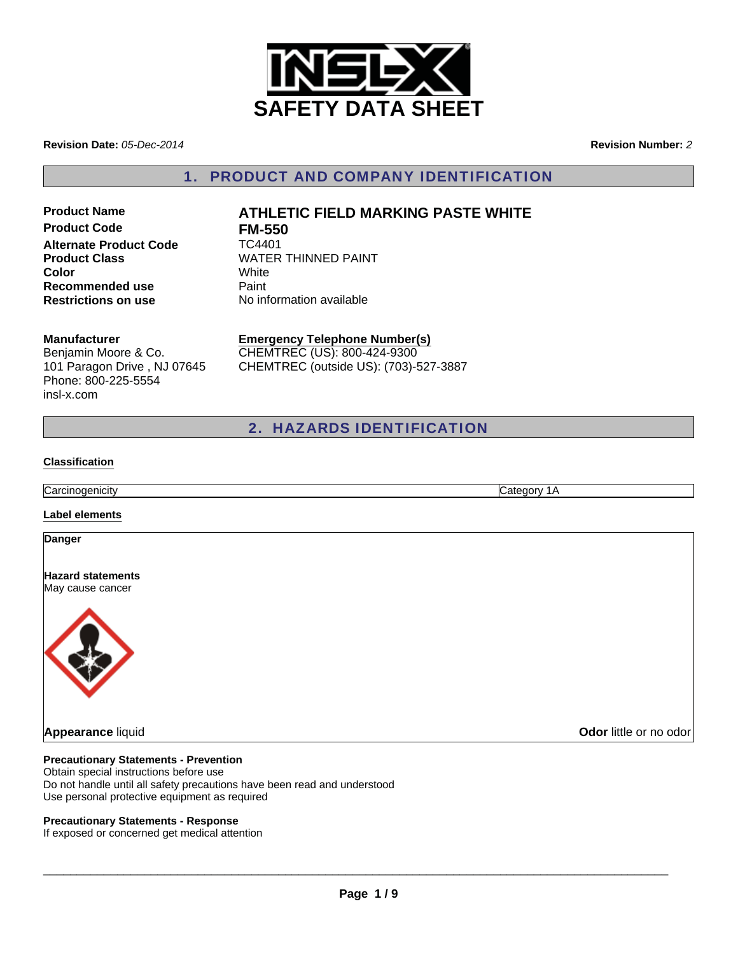

**Revision Date:** *05-Dec-2014*

**Revision Number:** *2*

1. PRODUCT AND COMPANY IDENTIFICATION

**Product Code FM-550 Alternate Product Code TC4401 Color Recommended use Paint Restrictions on use** No information available

# **Product Name ATHLETIC FIELD MARKING PASTE WHITE Product Class** WATER THINNED PAINT<br> **Color**

#### **Manufacturer**

Benjamin Moore & Co. 101 Paragon Drive , NJ 07645 Phone: 800-225-5554 insl-x.com

**Emergency Telephone Number(s)** CHEMTREC (US): 800-424-9300 CHEMTREC (outside US): (703)-527-3887

2. HAZARDS IDENTIFICATION

#### **Classification**

**Carcinogenicity** Category 1A

#### **Label elements**

#### **Danger**

**Hazard statements** May cause cancer



#### **Precautionary Statements - Prevention**

Obtain special instructions before use Do not handle until all safety precautions have been read and understood Use personal protective equipment as required

#### **Precautionary Statements - Response**

If exposed or concerned get medical attention

 $\Box$ 

**Appearance** liquid **Odor** little or no odor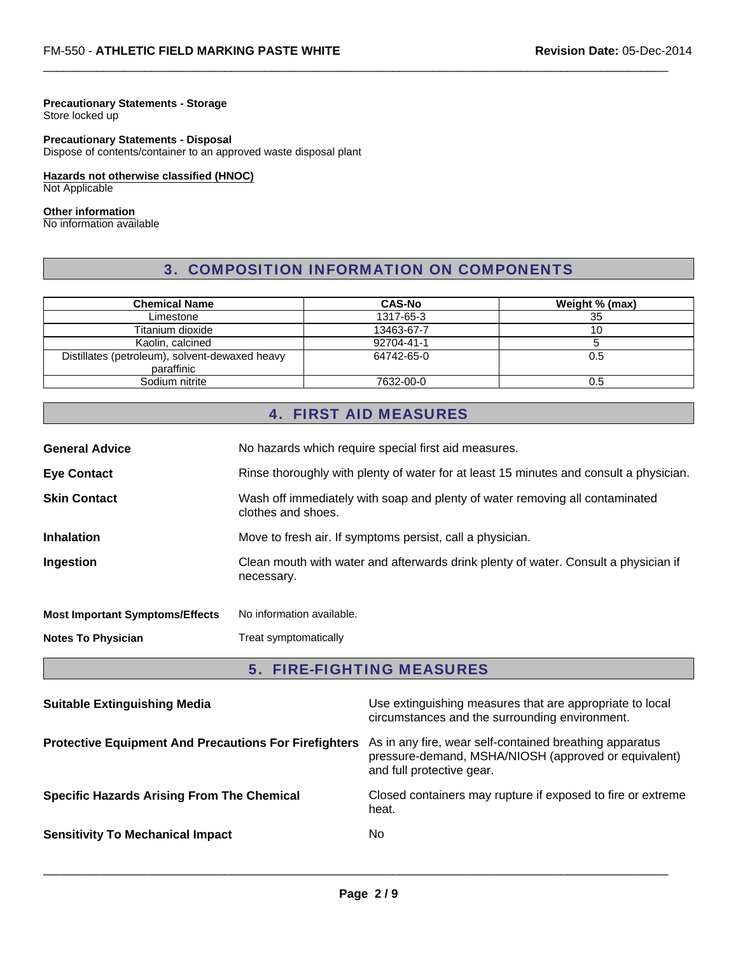#### **Precautionary Statements - Storage**

Store locked up

## **Precautionary Statements - Disposal**

Dispose of contents/container to an approved waste disposal plant

# **Hazards not otherwise classified (HNOC)**

Not Applicable

#### **Other information**

No information available

# 3. COMPOSITION INFORMATION ON COMPONENTS

 $\Box$ 

| <b>Chemical Name</b>                                         | <b>CAS-No</b> | Weight % (max) |
|--------------------------------------------------------------|---------------|----------------|
| Limestone                                                    | 1317-65-3     | 35             |
| Titanium dioxide                                             | 13463-67-7    | 10             |
| Kaolin, calcined                                             | 92704-41-1    |                |
| Distillates (petroleum), solvent-dewaxed heavy<br>paraffinic | 64742-65-0    | 0.5            |
| Sodium nitrite                                               | 7632-00-0     | 0.5            |

# 4. FIRST AID MEASURES

| <b>General Advice</b>                  | No hazards which require special first aid measures.                                               |  |
|----------------------------------------|----------------------------------------------------------------------------------------------------|--|
| <b>Eye Contact</b>                     | Rinse thoroughly with plenty of water for at least 15 minutes and consult a physician.             |  |
| <b>Skin Contact</b>                    | Wash off immediately with soap and plenty of water removing all contaminated<br>clothes and shoes. |  |
| <b>Inhalation</b>                      | Move to fresh air. If symptoms persist, call a physician.                                          |  |
| Ingestion                              | Clean mouth with water and afterwards drink plenty of water. Consult a physician if<br>necessary.  |  |
| <b>Most Important Symptoms/Effects</b> | No information available.                                                                          |  |
| <b>Notes To Physician</b>              | Treat symptomatically                                                                              |  |

## 5. FIRE-FIGHTING MEASURES

| <b>Suitable Extinguishing Media</b>                          | Use extinguishing measures that are appropriate to local<br>circumstances and the surrounding environment.                                   |
|--------------------------------------------------------------|----------------------------------------------------------------------------------------------------------------------------------------------|
| <b>Protective Equipment And Precautions For Firefighters</b> | As in any fire, wear self-contained breathing apparatus<br>pressure-demand, MSHA/NIOSH (approved or equivalent)<br>and full protective gear. |
| <b>Specific Hazards Arising From The Chemical</b>            | Closed containers may rupture if exposed to fire or extreme<br>heat.                                                                         |
| <b>Sensitivity To Mechanical Impact</b>                      | No.                                                                                                                                          |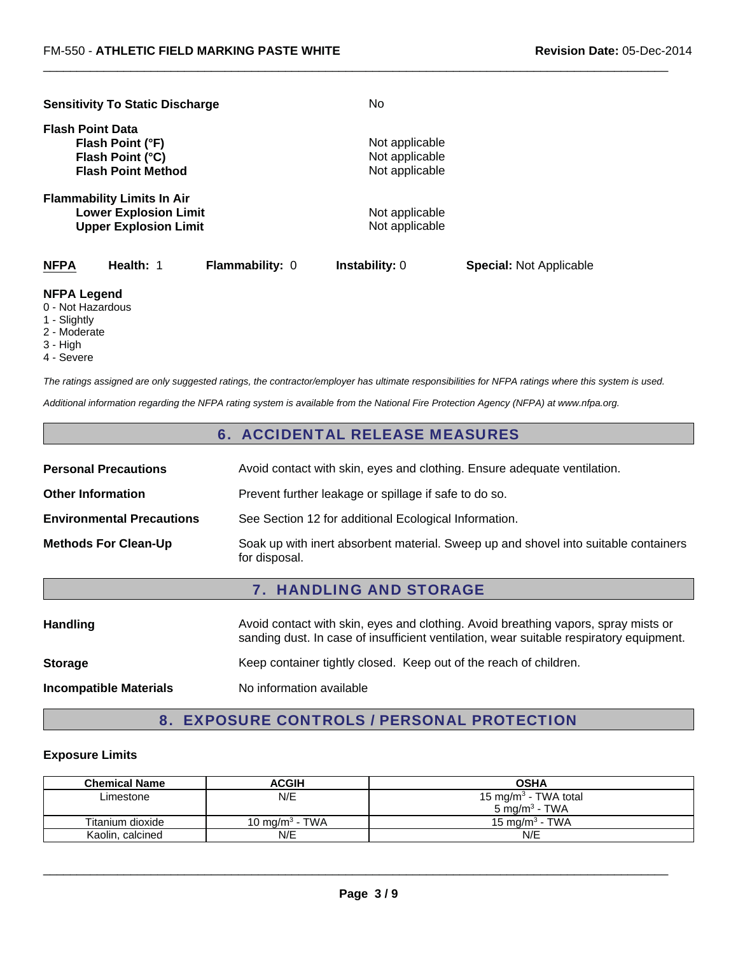|                         |                        | No                                                                                                                                                                       |                                |
|-------------------------|------------------------|--------------------------------------------------------------------------------------------------------------------------------------------------------------------------|--------------------------------|
| <b>Flash Point Data</b> |                        |                                                                                                                                                                          |                                |
| Flash Point (°F)        |                        | Not applicable                                                                                                                                                           |                                |
| Flash Point (°C)        |                        | Not applicable                                                                                                                                                           |                                |
|                         |                        | Not applicable                                                                                                                                                           |                                |
|                         |                        |                                                                                                                                                                          |                                |
|                         |                        | Not applicable                                                                                                                                                           |                                |
|                         |                        | Not applicable                                                                                                                                                           |                                |
| Health: 1               | <b>Flammability: 0</b> | <b>Instability: 0</b>                                                                                                                                                    | <b>Special:</b> Not Applicable |
|                         |                        | <b>Sensitivity To Static Discharge</b><br><b>Flash Point Method</b><br><b>Flammability Limits In Air</b><br><b>Lower Explosion Limit</b><br><b>Upper Explosion Limit</b> |                                |

#### **NFPA Legend**

- 0 Not Hazardous
- 1 Slightly
- 2 Moderate
- 3 High
- 4 Severe

*The ratings assigned are only suggested ratings, the contractor/employer has ultimate responsibilities for NFPA ratings where this system is used.*

 $\Box$ 

*Additional information regarding the NFPA rating system is available from the National Fire Protection Agency (NFPA) at www.nfpa.org.*

# 6. ACCIDENTAL RELEASE MEASURES

| <b>Personal Precautions</b>      | Avoid contact with skin, eyes and clothing. Ensure adequate ventilation.                             |
|----------------------------------|------------------------------------------------------------------------------------------------------|
| <b>Other Information</b>         | Prevent further leakage or spillage if safe to do so.                                                |
| <b>Environmental Precautions</b> | See Section 12 for additional Ecological Information.                                                |
| <b>Methods For Clean-Up</b>      | Soak up with inert absorbent material. Sweep up and shovel into suitable containers<br>for disposal. |

## 7. HANDLING AND STORAGE

| <b>Handling</b>               | Avoid contact with skin, eyes and clothing. Avoid breathing vapors, spray mists or<br>sanding dust. In case of insufficient ventilation, wear suitable respiratory equipment. |
|-------------------------------|-------------------------------------------------------------------------------------------------------------------------------------------------------------------------------|
| <b>Storage</b>                | Keep container tightly closed. Keep out of the reach of children.                                                                                                             |
| <b>Incompatible Materials</b> | No information available                                                                                                                                                      |

# 8. EXPOSURE CONTROLS / PERSONAL PROTECTION

#### **Exposure Limits**

| <b>Chemical Name</b> | <b>ACGIH</b>               | <b>OSHA</b>                      |
|----------------------|----------------------------|----------------------------------|
| Limestone            | N/E                        | 15 mg/m <sup>3</sup> - TWA total |
|                      |                            | 5 mg/m <sup>3</sup> - TWA        |
| Titanium dioxide     | 10 mg/m <sup>3</sup> - TWA | 15 mg/m <sup>3</sup> - TWA       |
| Kaolin, calcined     | N/E                        | N/E                              |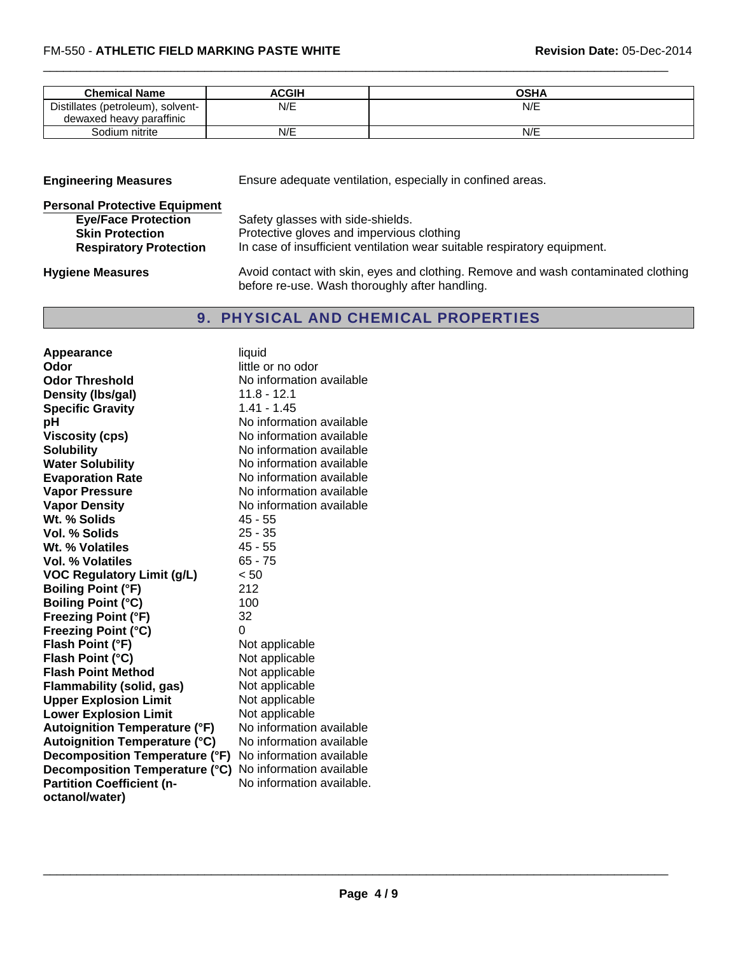| <b>Chemical Name</b>              | ACGIH | OSHA |
|-----------------------------------|-------|------|
| Distillates (petroleum), solvent- | N/E   | N/E  |
| dewaxed heavy paraffinic          |       |      |
| Sodium nitrite                    | N/E   | N/E  |

 $\Box$ 

| <b>Engineering Measures</b>                                                                                                   | Ensure adequate ventilation, especially in confined areas.                                                                                                 |  |
|-------------------------------------------------------------------------------------------------------------------------------|------------------------------------------------------------------------------------------------------------------------------------------------------------|--|
| <b>Personal Protective Equipment</b><br><b>Eye/Face Protection</b><br><b>Skin Protection</b><br><b>Respiratory Protection</b> | Safety glasses with side-shields.<br>Protective gloves and impervious clothing<br>In case of insufficient ventilation wear suitable respiratory equipment. |  |
| <b>Hygiene Measures</b>                                                                                                       | Avoid contact with skin, eyes and clothing. Remove and wash contaminated clothing                                                                          |  |

9. PHYSICAL AND CHEMICAL PROPERTIES

before re-use. Wash thoroughly after handling.

| Appearance                           | liquid                    |
|--------------------------------------|---------------------------|
| Odor                                 | little or no odor         |
| <b>Odor Threshold</b>                | No information available  |
| Density (Ibs/gal)                    | 11.8 - 12.1               |
| <b>Specific Gravity</b>              | $1.41 - 1.45$             |
| рH                                   | No information available  |
| <b>Viscosity (cps)</b>               | No information available  |
| <b>Solubility</b>                    | No information available  |
| <b>Water Solubility</b>              | No information available  |
| <b>Evaporation Rate</b>              | No information available  |
| <b>Vapor Pressure</b>                | No information available  |
| <b>Vapor Density</b>                 | No information available  |
| Wt. % Solids                         | $45 - 55$                 |
| Vol. % Solids                        | $25 - 35$                 |
| Wt. % Volatiles                      | 45 - 55                   |
| Vol. % Volatiles                     | $65 - 75$                 |
| <b>VOC Regulatory Limit (g/L)</b>    | < 50                      |
| <b>Boiling Point (°F)</b>            | 212                       |
| <b>Boiling Point (°C)</b>            | 100                       |
| <b>Freezing Point (°F)</b>           | 32                        |
| Freezing Point (°C)                  | $\Omega$                  |
| Flash Point (°F)                     | Not applicable            |
| Flash Point (°C)                     | Not applicable            |
| <b>Flash Point Method</b>            | Not applicable            |
| <b>Flammability (solid, gas)</b>     | Not applicable            |
| <b>Upper Explosion Limit</b>         | Not applicable            |
| <b>Lower Explosion Limit</b>         | Not applicable            |
| <b>Autoignition Temperature (°F)</b> | No information available  |
| <b>Autoignition Temperature (°C)</b> | No information available  |
| Decomposition Temperature (°F)       | No information available  |
| Decomposition Temperature (°C)       | No information available  |
| <b>Partition Coefficient (n-</b>     | No information available. |
| octanol/water)                       |                           |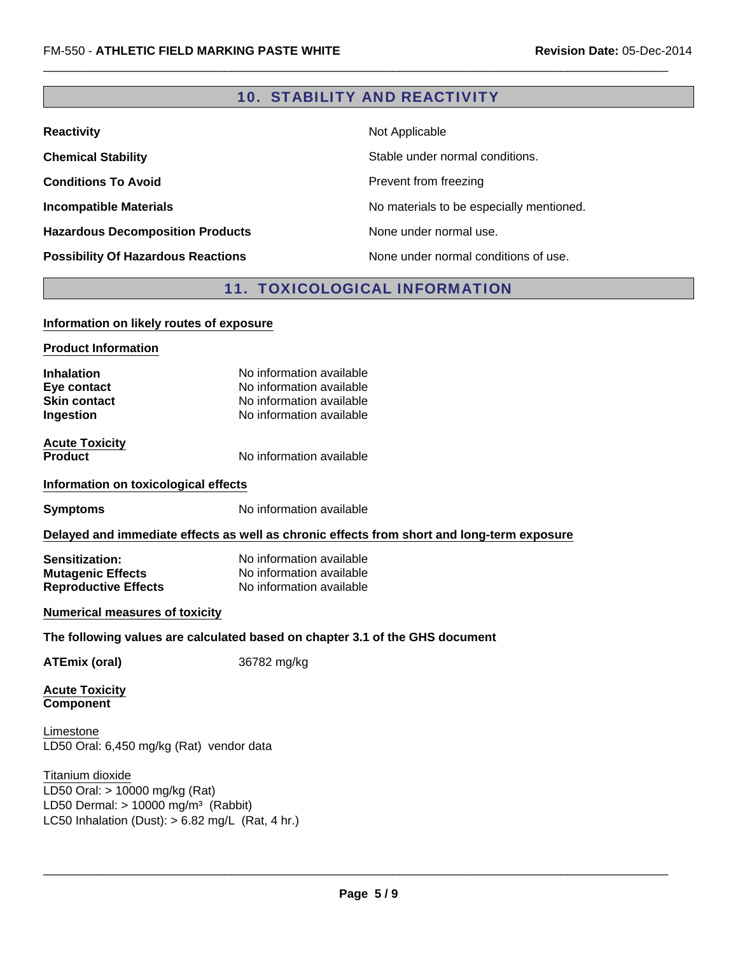# 10. STABILITY AND REACTIVITY

 $\Box$ 

| <b>Reactivity</b>                         | Not Applicable                           |
|-------------------------------------------|------------------------------------------|
| <b>Chemical Stability</b>                 | Stable under normal conditions.          |
| <b>Conditions To Avoid</b>                | Prevent from freezing                    |
| <b>Incompatible Materials</b>             | No materials to be especially mentioned. |
| <b>Hazardous Decomposition Products</b>   | None under normal use.                   |
| <b>Possibility Of Hazardous Reactions</b> | None under normal conditions of use.     |

# 11. TOXICOLOGICAL INFORMATION

#### **Information on likely routes of exposure**

**Product Information**

| <b>Inhalation</b>   | No information available |
|---------------------|--------------------------|
| Eye contact         | No information available |
| <b>Skin contact</b> | No information available |
| <b>Ingestion</b>    | No information available |
|                     |                          |

**Acute Toxicity**

**Product** No information available

#### **Information on toxicological effects**

**Symptoms** No information available

#### **Delayed and immediate effects as well as chronic effects from short and long-term exposure**

| <b>Sensitization:</b>       | No information available |
|-----------------------------|--------------------------|
| <b>Mutagenic Effects</b>    | No information available |
| <b>Reproductive Effects</b> | No information available |

#### **Numerical measures of toxicity**

#### **The following values are calculated based on chapter 3.1 of the GHS document**

**ATEmix (oral)** 36782 mg/kg

**Acute Toxicity Component**

LD50 Oral: 6,450 mg/kg (Rat) vendor data Limestone

## Titanium dioxide

LC50 Inhalation (Dust):  $> 6.82$  mg/L (Rat, 4 hr.) LD50 Oral: > 10000 mg/kg (Rat) LD50 Dermal:  $> 10000$  mg/m<sup>3</sup> (Rabbit)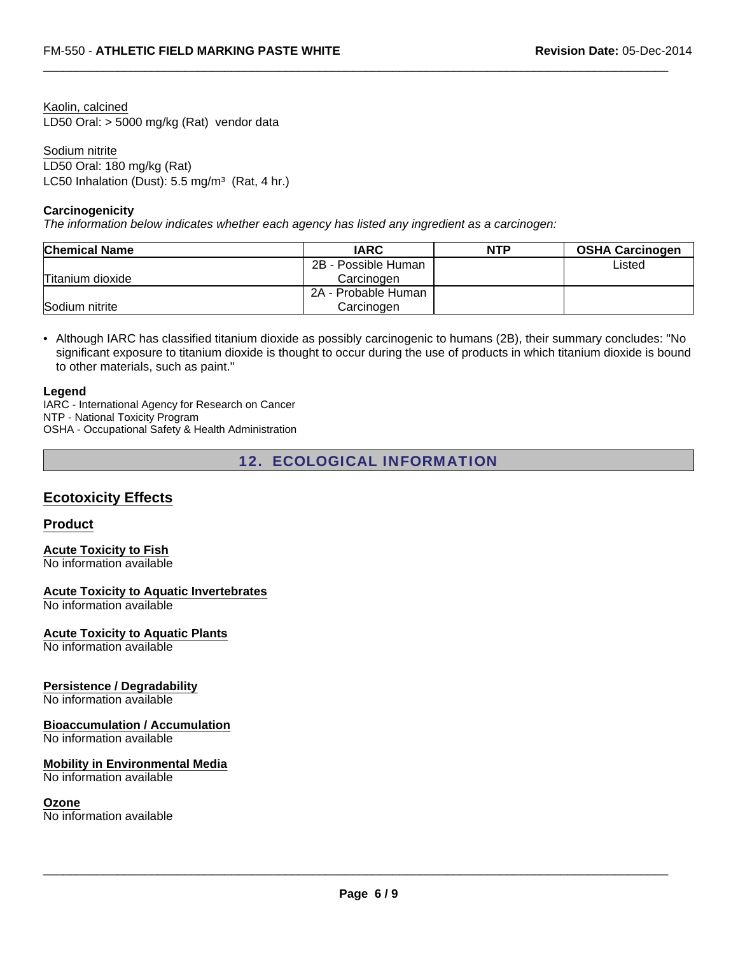Kaolin, calcined LD50 Oral: > 5000 mg/kg (Rat) vendor data

Sodium nitrite LD50 Oral: 180 mg/kg (Rat) LC50 Inhalation (Dust):  $5.5 \text{ mg/m}^3$  (Rat, 4 hr.)

#### **Carcinogenicity**

*The information below indicates whether each agency has listed any ingredient as a carcinogen:*

| <b>Chemical Name</b> | <b>IARC</b>         | <b>NTP</b> | <b>OSHA Carcinogen</b> |
|----------------------|---------------------|------------|------------------------|
|                      | 2B - Possible Human |            | Listed                 |
| Titanium dioxide     | Carcinogen          |            |                        |
|                      | 2A - Probable Human |            |                        |
| Sodium nitrite       | Carcinogen          |            |                        |

 $\Box$ 

• Although IARC has classified titanium dioxide as possibly carcinogenic to humans (2B), their summary concludes: "No significant exposure to titanium dioxide is thought to occur during the use of products in which titanium dioxide is bound to other materials, such as paint."

#### **Legend**

IARC - International Agency for Research on Cancer NTP - National Toxicity Program OSHA - Occupational Safety & Health Administration

# 12. ECOLOGICAL INFORMATION

# **Ecotoxicity Effects**

## **Product**

**Acute Toxicity to Fish** No information available

**Acute Toxicity to Aquatic Invertebrates**

No information available

#### **Acute Toxicity to Aquatic Plants**

No information available

#### **Persistence / Degradability**

No information available

#### **Bioaccumulation / Accumulation**

No information available

#### **Mobility in Environmental Media**

No information available

#### **Ozone**

No information available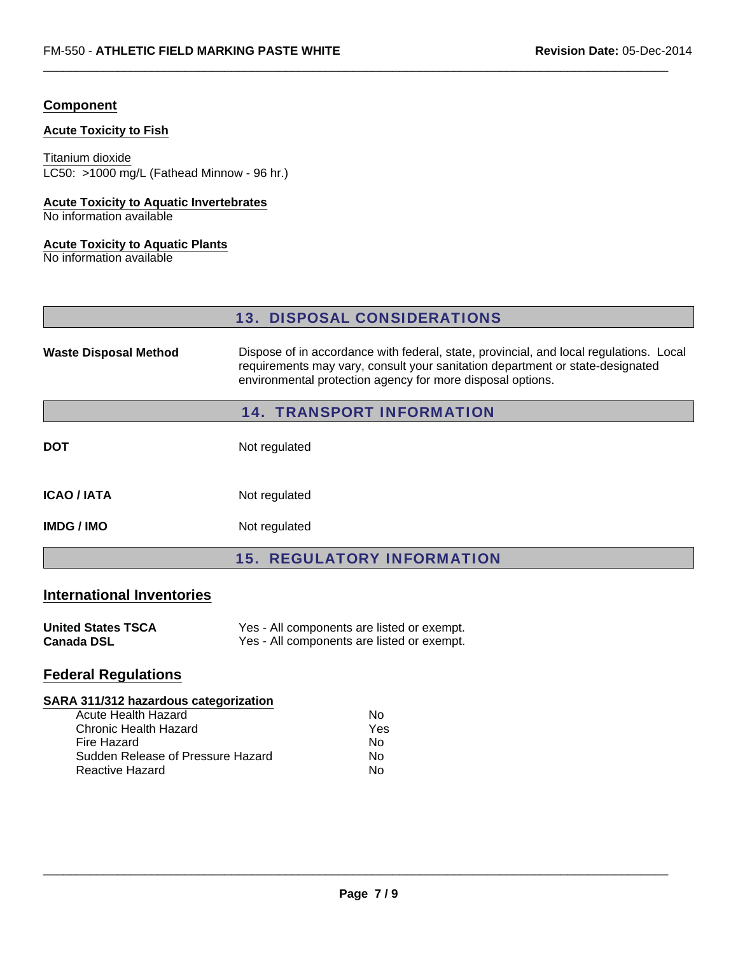## **Component**

## **Acute Toxicity to Fish**

#### Titanium dioxide

LC50: >1000 mg/L (Fathead Minnow - 96 hr.)

#### **Acute Toxicity to Aquatic Invertebrates**

No information available

#### **Acute Toxicity to Aquatic Plants**

No information available

|                                                             | <b>13. DISPOSAL CONSIDERATIONS</b>                                                                                                                                                                                                    |  |  |
|-------------------------------------------------------------|---------------------------------------------------------------------------------------------------------------------------------------------------------------------------------------------------------------------------------------|--|--|
| <b>Waste Disposal Method</b>                                | Dispose of in accordance with federal, state, provincial, and local regulations. Local<br>requirements may vary, consult your sanitation department or state-designated<br>environmental protection agency for more disposal options. |  |  |
|                                                             | <b>14. TRANSPORT INFORMATION</b>                                                                                                                                                                                                      |  |  |
| <b>DOT</b>                                                  | Not regulated                                                                                                                                                                                                                         |  |  |
| <b>ICAO / IATA</b>                                          | Not regulated                                                                                                                                                                                                                         |  |  |
| <b>IMDG / IMO</b>                                           | Not regulated                                                                                                                                                                                                                         |  |  |
|                                                             | <b>15. REGULATORY INFORMATION</b>                                                                                                                                                                                                     |  |  |
| <b>International Inventories</b>                            |                                                                                                                                                                                                                                       |  |  |
| <b>United States TSCA</b><br><b>Canada DSL</b>              | Yes - All components are listed or exempt.<br>Yes - All components are listed or exempt.                                                                                                                                              |  |  |
| <b>Federal Regulations</b>                                  |                                                                                                                                                                                                                                       |  |  |
| SARA 311/312 hazardous categorization                       |                                                                                                                                                                                                                                       |  |  |
| <b>Acute Health Hazard</b>                                  | <b>No</b>                                                                                                                                                                                                                             |  |  |
| <b>Chronic Health Hazard</b>                                | Yes                                                                                                                                                                                                                                   |  |  |
| <b>Fire Hazard</b>                                          | No                                                                                                                                                                                                                                    |  |  |
| Sudden Release of Pressure Hazard<br><b>Reactive Hazard</b> | <b>No</b><br><b>No</b>                                                                                                                                                                                                                |  |  |
|                                                             |                                                                                                                                                                                                                                       |  |  |

 $\Box$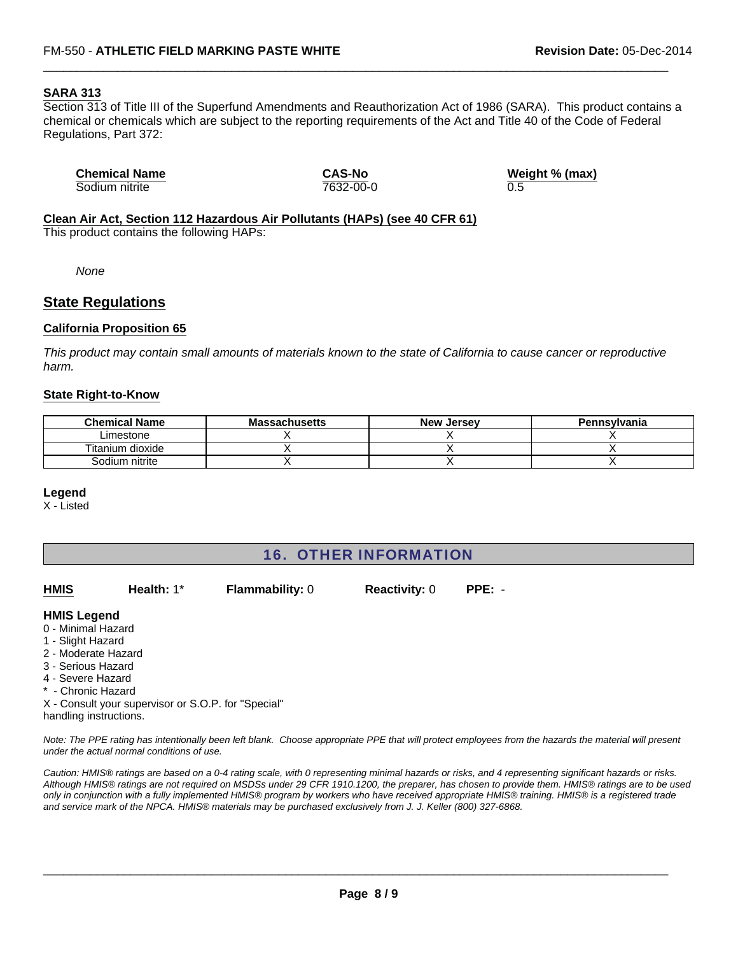#### **SARA 313**

Section 313 of Title III of the Superfund Amendments and Reauthorization Act of 1986 (SARA). This product contains a chemical or chemicals which are subject to the reporting requirements of the Act and Title 40 of the Code of Federal Regulations, Part 372:

 $\Box$ 

| <b>Chemical Name</b> | <b>CAS-No</b> | Weight % (max) |  |
|----------------------|---------------|----------------|--|
| Sodium nitrite       | 7632-00-0     | 0.5            |  |

# **Clean Air Act, Section 112 Hazardous Air Pollutants (HAPs) (see 40 CFR 61)**

This product contains the following HAPs:

*None*

## **State Regulations**

#### **California Proposition 65**

*This product may contain small amounts of materials known to the state of California to cause cancer or reproductive harm.*

#### **State Right-to-Know**

| <b>Chemical Name</b> | <b>Massachusetts</b> | New Jersev | Pennsylvania |
|----------------------|----------------------|------------|--------------|
| Limestone            |                      |            |              |
| Titanium dioxide     |                      |            |              |
| Sodium nitrite       |                      |            |              |

#### **Legend**

X - Listed

# 16. OTHER INFORMATION

| <b>HMIS</b>         | Health: $1^*$     | <b>Flammability: 0</b> | <b>Reactivity: 0</b> | $PPE: -$ |  |
|---------------------|-------------------|------------------------|----------------------|----------|--|
| <b>HMIS Legend</b>  |                   |                        |                      |          |  |
| 0 - Minimal Hazard  |                   |                        |                      |          |  |
| 1 - Slight Hazard   |                   |                        |                      |          |  |
| 2 - Moderate Hazard |                   |                        |                      |          |  |
| 3 - Serious Hazard  |                   |                        |                      |          |  |
|                     | 4 - Severe Hozard |                        |                      |          |  |

- Severe Hazard
- \* Chronic Hazard

X - Consult your supervisor or S.O.P. for "Special" handling instructions.

*Note: The PPE rating has intentionally been left blank. Choose appropriate PPE that will protect employees from the hazards the material will present under the actual normal conditions of use.*

*Caution: HMIS® ratings are based on a 0-4 rating scale, with 0 representing minimal hazards or risks, and 4 representing significant hazards or risks. Although HMIS® ratings are not required on MSDSs under 29 CFR 1910.1200, the preparer, has chosen to provide them. HMIS® ratings are to be used only in conjunction with a fully implemented HMIS® program by workers who have received appropriate HMIS® training. HMIS® is a registered trade and service mark of the NPCA. HMIS® materials may be purchased exclusively from J. J. Keller (800) 327-6868.*